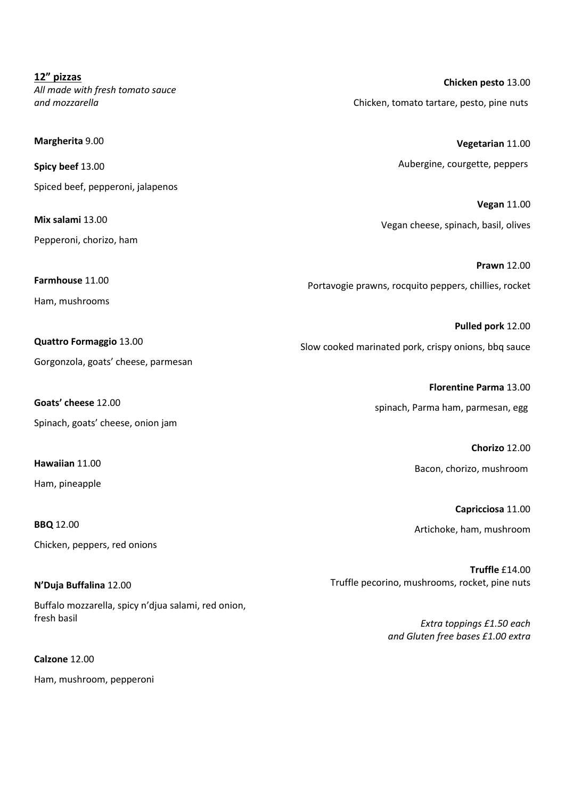**12" pizzas** *All made with fresh tomato sauce and mozzarella*

**Margherita** 9.00

**Spicy beef** 13.00 Spiced beef, pepperoni, jalapenos

**Mix salami** 13.00 Pepperoni, chorizo, ham

**Farmhouse** 11.00 Ham, mushrooms

**Quattro Formaggio** 13.00

Gorgonzola, goats' cheese, parmesan

**Goats' cheese** 12.00

Spinach, goats' cheese, onion jam

**Hawaiian** 11.00 Ham, pineapple

**BBQ** 12.00 Chicken, peppers, red onions

**N'Duja Buffalina** 12.00 Buffalo mozzarella, spicy n'djua salami, red onion, fresh basil

**Calzone** 12.00 Ham, mushroom, pepperoni

**Chicken pesto** 13.00 Chicken, tomato tartare, pesto, pine nuts

> **Vegetarian** 11.00 Aubergine, courgette, peppers

**Vegan** 11.00 Vegan cheese, spinach, basil, olives

**Prawn** 12.00 Portavogie prawns, rocquito peppers, chillies, rocket

**Pulled pork** 12.00 Slow cooked marinated pork, crispy onions, bbq sauce

> **Florentine Parma** 13.00 spinach, Parma ham, parmesan, egg

> > **Chorizo** 12.00 Bacon, chorizo, mushroom

**Capricciosa** 11.00 Artichoke, ham, mushroom

**Truffle** £14.00 Truffle pecorino, mushrooms, rocket, pine nuts

> *Extra toppings £1.50 each and Gluten free bases £1.00 extra*